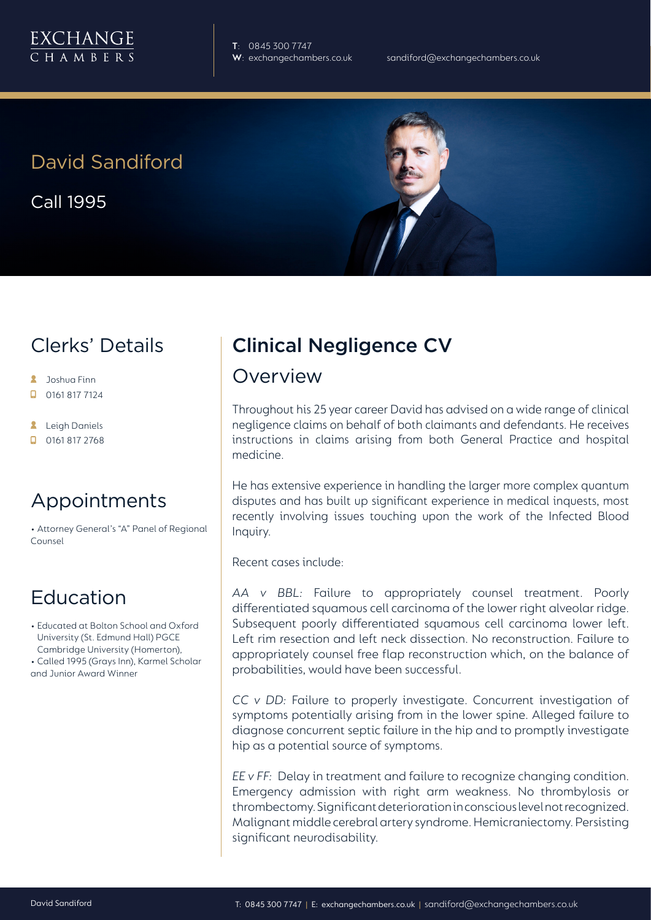

**T**: 0845 300 7747

# David Sandiford

Call 1995

## Clerks' Details

- **A** Joshua Finn
- $\Box$  0161 817 7124
- **A** Leigh Daniels
- $\Box$  0161 817 2768

#### Appointments

• Attorney General's "A" Panel of Regional Counsel

### Education

• Educated at Bolton School and Oxford University (St. Edmund Hall) PGCE Cambridge University (Homerton), • Called 1995 (Grays Inn), Karmel Scholar and Junior Award Winner

# Clinical Negligence CV

#### Overview

Throughout his 25 year career David has advised on a wide range of clinical negligence claims on behalf of both claimants and defendants. He receives instructions in claims arising from both General Practice and hospital medicine.

He has extensive experience in handling the larger more complex quantum disputes and has built up significant experience in medical inquests, most recently involving issues touching upon the work of the Infected Blood Inquiry.

Recent cases include:

*AA v BBL:* Failure to appropriately counsel treatment. Poorly differentiated squamous cell carcinoma of the lower right alveolar ridge. Subsequent poorly differentiated squamous cell carcinoma lower left. Left rim resection and left neck dissection. No reconstruction. Failure to appropriately counsel free flap reconstruction which, on the balance of probabilities, would have been successful.

*CC v DD:* Failure to properly investigate. Concurrent investigation of symptoms potentially arising from in the lower spine. Alleged failure to diagnose concurrent septic failure in the hip and to promptly investigate hip as a potential source of symptoms.

*EE v FF:* Delay in treatment and failure to recognize changing condition. Emergency admission with right arm weakness. No thrombylosis or thrombectomy. Significant deterioration in conscious level not recognized. Malignant middle cerebral artery syndrome. Hemicraniectomy. Persisting significant neurodisability.